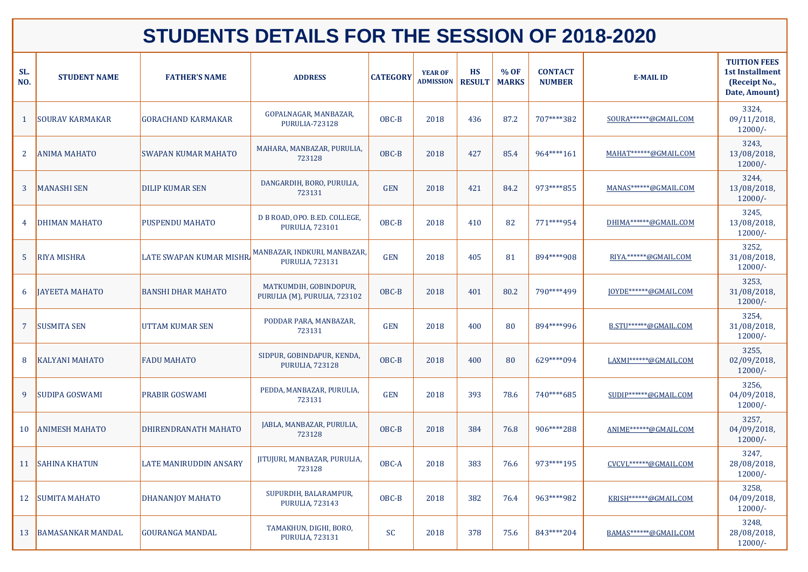| SL.<br>NO.     | <b>STUDENT NAME</b>      | <b>FATHER'S NAME</b>          | <b>ADDRESS</b>                                          | <b>CATEGORY</b> | <b>YEAR OF</b><br><b>ADMISSION</b> | <b>HS</b><br><b>RESULT</b> | % OF<br><b>MARKS</b> | <b>CONTACT</b><br><b>NUMBER</b> | <b>E-MAIL ID</b>        | <b>TUITION FEES</b><br><b>1st Installment</b><br>(Receipt No.,<br>Date, Amount) |
|----------------|--------------------------|-------------------------------|---------------------------------------------------------|-----------------|------------------------------------|----------------------------|----------------------|---------------------------------|-------------------------|---------------------------------------------------------------------------------|
|                | <b>SOURAV KARMAKAR</b>   | <b>GORACHAND KARMAKAR</b>     | GOPALNAGAR, MANBAZAR,<br><b>PURULIA-723128</b>          | OBC-B           | 2018                               | 436                        | 87.2                 | 707****382                      | SOURA******@GMAIL.COM   | 3324,<br>$09/11/2018$ ,<br>$12000/-$                                            |
| 2 <sup>1</sup> | <b>ANIMA MAHATO</b>      | <b>SWAPAN KUMAR MAHATO</b>    | MAHARA, MANBAZAR, PURULIA,<br>723128                    | OBC-B           | 2018                               | 427                        | 85.4                 | 964****161                      | MAHAT******@GMAIL.COM   | 3243,<br>13/08/2018,<br>$12000/-$                                               |
|                | <b>MANASHI SEN</b>       | <b>DILIP KUMAR SEN</b>        | DANGARDIH, BORO, PURULIA,<br>723131                     | <b>GEN</b>      | 2018                               | 421                        | 84.2                 | 973****855                      | MANAS******@GMAIL.COM   | 3244,<br>13/08/2018,<br>$12000/-$                                               |
| 4              | <b>DHIMAN MAHATO</b>     | <b>PUSPENDU MAHATO</b>        | D B ROAD, OPO. B.ED. COLLEGE,<br><b>PURULIA, 723101</b> | OBC-B           | 2018                               | 410                        | 82                   | 771****954                      | DHIMA******@GMAIL.COM   | 3245,<br>13/08/2018,<br>$12000/-$                                               |
|                | <b>RIYA MISHRA</b>       | LATE SWAPAN KUMAR MISHR       | MANBAZAR, INDKURI, MANBAZAR,<br><b>PURULIA, 723131</b>  | <b>GEN</b>      | 2018                               | 405                        | 81                   | 894****908                      | RIYA.******@GMAIL.COM   | 3252,<br>31/08/2018,<br>$12000/-$                                               |
| 6              | <b>JAYEETA MAHATO</b>    | <b>BANSHI DHAR MAHATO</b>     | MATKUMDIH, GOBINDOPUR,<br>PURULIA (M), PURULIA, 723102  | OBC-B           | 2018                               | 401                        | 80.2                 | 790****499                      | JOYDE******@GMAIL.COM   | 3253,<br>31/08/2018,<br>$12000/-$                                               |
|                | <b>SUSMITA SEN</b>       | <b>UTTAM KUMAR SEN</b>        | PODDAR PARA, MANBAZAR,<br>723131                        | <b>GEN</b>      | 2018                               | 400                        | 80                   | 894****996                      | B.STU******@GMAIL.COM   | 3254,<br>31/08/2018,<br>$12000/-$                                               |
| 8              | <b>KALYANI MAHATO</b>    | <b>FADU MAHATO</b>            | SIDPUR, GOBINDAPUR, KENDA,<br><b>PURULIA, 723128</b>    | OBC-B           | 2018                               | 400                        | 80                   | 629****094                      | LAXMI******@GMAIL.COM   | 3255,<br>02/09/2018,<br>$12000/-$                                               |
| 9              | SUDIPA GOSWAMI           | PRABIR GOSWAMI                | PEDDA, MANBAZAR, PURULIA,<br>723131                     | <b>GEN</b>      | 2018                               | 393                        | 78.6                 | 740****685                      | SUDIP******@GMAIL.COM   | 3256,<br>04/09/2018,<br>$12000/-$                                               |
| 10             | <b>ANIMESH MAHATO</b>    | DHIRENDRANATH MAHATO          | JABLA, MANBAZAR, PURULIA,<br>723128                     | OBC-B           | 2018                               | 384                        | 76.8                 | 906****288                      | ANIME******@GMAIL.COM   | 3257,<br>04/09/2018,<br>$12000/-$                                               |
| 11             | SAHINA KHATUN            | <b>LATE MANIRUDDIN ANSARY</b> | JITUJURI, MANBAZAR, PURULIA,<br>723128                  | OBC-A           | 2018                               | 383                        | 76.6                 | 973****195                      | CVCVL******@GMAIL.COM   | 3247,<br>28/08/2018,<br>$12000/-$                                               |
| 12             | <b>SUMITA MAHATO</b>     | DHANANJOY MAHATO              | SUPURDIH, BALARAMPUR,<br><b>PURULIA, 723143</b>         | OBC-B           | 2018                               | 382                        | 76.4                 | 963****982                      | KRISH ****** @GMAIL.COM | 3258,<br>$04/09/2018$ ,<br>$12000/-$                                            |
| 13             | <b>BAMASANKAR MANDAL</b> | <b>GOURANGA MANDAL</b>        | TAMAKHUN, DIGHI, BORO,<br><b>PURULIA, 723131</b>        | <b>SC</b>       | 2018                               | 378                        | 75.6                 | 843****204                      | BAMAS******@GMAIL.COM   | 3248,<br>28/08/2018,<br>$12000/-$                                               |

## **STUDENTS DETAILS FOR THE SESSION OF 2018-2020**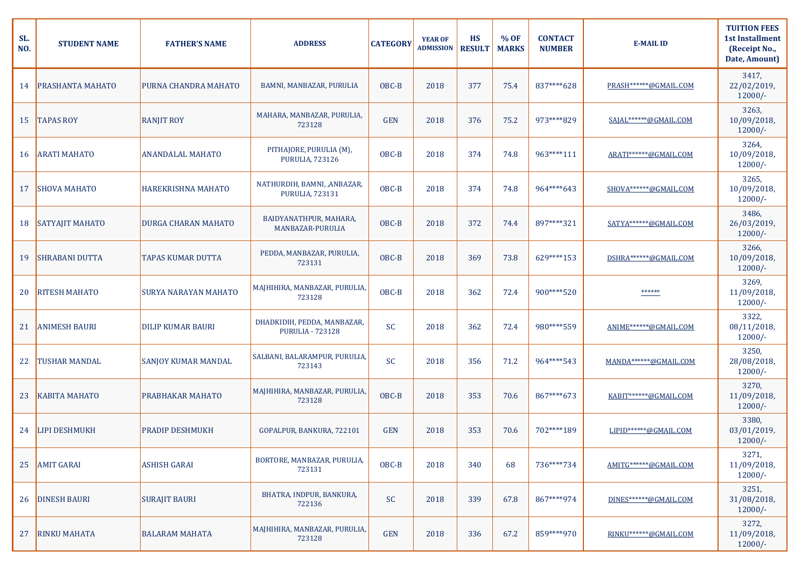| SL.<br>NO. | <b>STUDENT NAME</b>     | <b>FATHER'S NAME</b>        | <b>ADDRESS</b>                                         | <b>CATEGORY</b> | <b>YEAR OF</b><br><b>ADMISSION</b> | <b>HS</b><br><b>RESULT</b> | % OF<br><b>MARKS</b> | <b>CONTACT</b><br><b>NUMBER</b> | <b>E-MAIL ID</b>        | <b>TUITION FEES</b><br><b>1st Installment</b><br>(Receipt No.,<br>Date, Amount) |
|------------|-------------------------|-----------------------------|--------------------------------------------------------|-----------------|------------------------------------|----------------------------|----------------------|---------------------------------|-------------------------|---------------------------------------------------------------------------------|
| 14         | <b>PRASHANTA MAHATO</b> | <b>PURNA CHANDRA MAHATO</b> | BAMNI, MANBAZAR, PURULIA                               | OBC-B           | 2018                               | 377                        | 75.4                 | 837****628                      | PRASH ****** @GMAIL.COM | 3417,<br>22/02/2019,<br>$12000/-$                                               |
| 15         | <b>TAPAS ROY</b>        | <b>RANJIT ROY</b>           | MAHARA, MANBAZAR, PURULIA,<br>723128                   | <b>GEN</b>      | 2018                               | 376                        | 75.2                 | 973****829                      | SAJAL******@GMAIL.COM   | 3263,<br>10/09/2018,<br>$12000/-$                                               |
|            | 16 ARATI MAHATO         | <b>ANANDALAL MAHATO</b>     | PITHAJORE, PURULIA (M),<br><b>PURULIA, 723126</b>      | OBC-B           | 2018                               | 374                        | 74.8                 | 963****111                      | ARATI******@GMAIL.COM   | 3264,<br>10/09/2018,<br>$12000/-$                                               |
| 17         | <b>SHOVA MAHATO</b>     | <b>HAREKRISHNA MAHATO</b>   | NATHURDIH, BAMNI, ,ANBAZAR,<br><b>PURULIA, 723131</b>  | OBC-B           | 2018                               | 374                        | 74.8                 | 964****643                      | SHOVA******@GMAIL.COM   | 3265,<br>10/09/2018,<br>$12000/-$                                               |
| 18         | <b>SATYAJIT MAHATO</b>  | <b>DURGA CHARAN MAHATO</b>  | BAIDYANATHPUR, MAHARA,<br>MANBAZAR-PURULIA             | OBC-B           | 2018                               | 372                        | 74.4                 | 897****321                      | SATYA******@GMAIL.COM   | 3486,<br>26/03/2019,<br>$12000/-$                                               |
| 19         | <b>SHRABANI DUTTA</b>   | <b>TAPAS KUMAR DUTTA</b>    | PEDDA, MANBAZAR, PURULIA,<br>723131                    | OBC-B           | 2018                               | 369                        | 73.8                 | 629****153                      | DSHRA******@GMAIL.COM   | 3266,<br>10/09/2018,<br>$12000/-$                                               |
| 20         | <b>RITESH MAHATO</b>    | <b>SURYA NARAYAN MAHATO</b> | MAJHIHIRA, MANBAZAR, PURULIA<br>723128                 | OBC-B           | 2018                               | 362                        | 72.4                 | 900****520                      | ******                  | 3269,<br>11/09/2018,<br>$12000/-$                                               |
| 21         | <b>ANIMESH BAURI</b>    | <b>DILIP KUMAR BAURI</b>    | DHADKIDIH, PEDDA, MANBAZAR,<br><b>PURULIA - 723128</b> | SC              | 2018                               | 362                        | 72.4                 | 980****559                      | ANIME******@GMAIL.COM   | 3322,<br>$08/11/2018$ ,<br>$12000/-$                                            |
| 22         | <b>TUSHAR MANDAL</b>    | <b>SANJOY KUMAR MANDAL</b>  | SALBANI, BALARAMPUR, PURULIA,<br>723143                | SC              | 2018                               | 356                        | 71.2                 | 964****543                      | MANDA******@GMAIL.COM   | 3250,<br>28/08/2018,<br>$12000/-$                                               |
| 23         | <b>KABITA MAHATO</b>    | PRABHAKAR MAHATO            | MAJHIHIRA, MANBAZAR, PURULIA,<br>723128                | OBC-B           | 2018                               | 353                        | 70.6                 | 867****673                      | KABIT******@GMAIL.COM   | 3270,<br>11/09/2018,<br>$12000/-$                                               |
| 24         | <b>LIPI DESHMUKH</b>    | <b>PRADIP DESHMUKH</b>      | GOPALPUR, BANKURA, 722101                              | <b>GEN</b>      | 2018                               | 353                        | 70.6                 | 702****189                      | LIPID******@GMAIL.COM   | 3380,<br>$03/01/2019$ ,<br>$12000/-$                                            |
| 25         | <b>AMIT GARAI</b>       | <b>ASHISH GARAI</b>         | BORTORE, MANBAZAR, PURULIA,<br>723131                  | OBC-B           | 2018                               | 340                        | 68                   | 736****734                      | AMITG******@GMAIL.COM   | 3271,<br>11/09/2018,<br>$12000/-$                                               |
| 26         | <b>DINESH BAURI</b>     | <b>SURAJIT BAURI</b>        | BHATRA, INDPUR, BANKURA,<br>722136                     | SC              | 2018                               | 339                        | 67.8                 | 867****974                      | DINES******@GMAIL.COM   | 3251,<br>31/08/2018,<br>$12000/-$                                               |
| 27         | <b>RINKU MAHATA</b>     | <b>BALARAM MAHATA</b>       | MAJHIHIRA, MANBAZAR, PURULIA,<br>723128                | <b>GEN</b>      | 2018                               | 336                        | 67.2                 | 859****970                      | RINKU******@GMAIL.COM   | 3272,<br>11/09/2018,<br>$12000/-$                                               |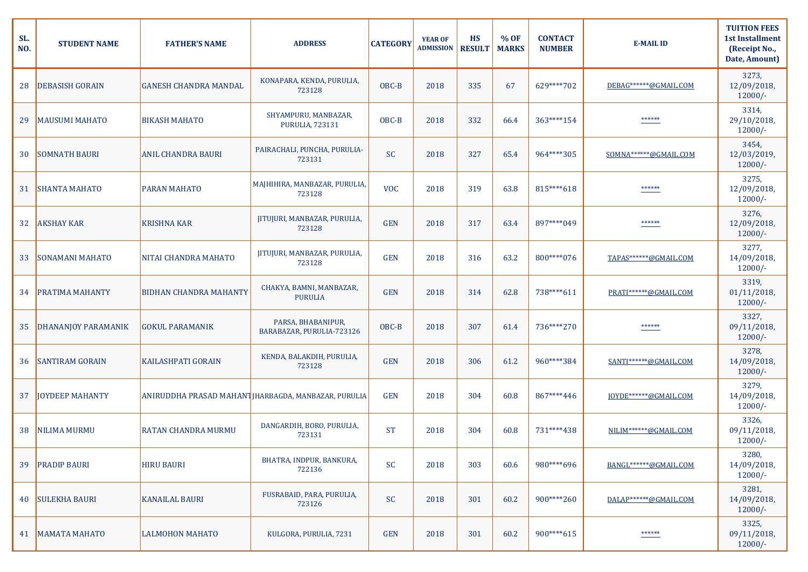| SL.<br>NO. | <b>STUDENT NAME</b>    | <b>FATHER'S NAME</b>          | <b>ADDRESS</b>                                       | <b>CATEGORY</b> | <b>YEAR OF</b><br><b>ADMISSION</b> | <b>HS</b><br><b>RESULT</b> | % OF<br><b>MARKS</b> | <b>CONTACT</b><br><b>NUMBER</b> | <b>E-MAIL ID</b>      | <b>TUITION FEES</b><br><b>1st Installment</b><br>(Receipt No.,<br>Date, Amount) |
|------------|------------------------|-------------------------------|------------------------------------------------------|-----------------|------------------------------------|----------------------------|----------------------|---------------------------------|-----------------------|---------------------------------------------------------------------------------|
| 28         | <b>DEBASISH GORAIN</b> | <b>GANESH CHANDRA MANDAL</b>  | KONAPARA, KENDA, PURULIA,<br>723128                  | OBC-B           | 2018                               | 335                        | 67                   | 629****702                      | DEBAG******@GMAIL.COM | 3273,<br>12/09/2018,<br>$12000/-$                                               |
| 29         | <b>MAUSUMI MAHATO</b>  | <b>BIKASH MAHATO</b>          | SHYAMPURU, MANBAZAR,<br><b>PURULIA, 723131</b>       | OBC-B           | 2018                               | 332                        | 66.4                 | 363****154                      | ******                | 3314,<br>29/10/2018,<br>$12000/-$                                               |
| 30         | <b>SOMNATH BAURI</b>   | <b>ANIL CHANDRA BAURI</b>     | PAIRACHALI, PUNCHA, PURULIA-<br>723131               | <b>SC</b>       | 2018                               | 327                        | 65.4                 | 964****305                      | SOMNA******@GMAIL.COM | 3454,<br>12/03/2019,<br>$12000/-$                                               |
| 31         | <b>SHANTA MAHATO</b>   | <b>PARAN MAHATO</b>           | MAJHIHIRA, MANBAZAR, PURULIA,<br>723128              | <b>VOC</b>      | 2018                               | 319                        | 63.8                 | 815****618                      | ******                | 3275,<br>12/09/2018,<br>$12000/-$                                               |
| 32         | <b>AKSHAY KAR</b>      | <b>KRISHNA KAR</b>            | JITUJURI, MANBAZAR, PURULIA,<br>723128               | <b>GEN</b>      | 2018                               | 317                        | 63.4                 | 897****049                      | ******                | 3276,<br>12/09/2018,<br>$12000/-$                                               |
| 33         | <b>SONAMANI MAHATO</b> | NITAI CHANDRA MAHATO          | JITUJURI, MANBAZAR, PURULIA,<br>723128               | <b>GEN</b>      | 2018                               | 316                        | 63.2                 | 800****076                      | TAPAS******@GMAIL.COM | 3277,<br>14/09/2018,<br>$12000/-$                                               |
| 34         | <b>PRATIMA MAHANTY</b> | <b>BIDHAN CHANDRA MAHANTY</b> | CHAKYA, BAMNI, MANBAZAR,<br><b>PURULIA</b>           | <b>GEN</b>      | 2018                               | 314                        | 62.8                 | 738****611                      | PRATI******@GMAIL.COM | 3319,<br>$01/11/2018$ ,<br>$12000/-$                                            |
|            | DHANANJOY PARAMANIK    | <b>GOKUL PARAMANIK</b>        | PARSA, BHABANIPUR,<br>BARABAZAR, PURULIA-723126      | OBC-B           | 2018                               | 307                        | 61.4                 | 736****270                      | ******                | 3327,<br>09/11/2018,<br>$12000/-$                                               |
| 36         | <b>SANTIRAM GORAIN</b> | <b>KAILASHPATI GORAIN</b>     | KENDA, BALAKDIH, PURULIA,<br>723128                  | <b>GEN</b>      | 2018                               | 306                        | 61.2                 | 960****384                      | SANTI******@GMAIL.COM | 3278,<br>14/09/2018,<br>$12000/-$                                               |
| 37         | <b>JOYDEEP MAHANTY</b> |                               | ANIRUDDHA PRASAD MAHANT JHARBAGDA, MANBAZAR, PURULIA | <b>GEN</b>      | 2018                               | 304                        | 60.8                 | 867****446                      | JOYDE******@GMAIL.COM | 3279,<br>14/09/2018,<br>$12000/-$                                               |
| 38         | <b>NILIMA MURMU</b>    | <b>RATAN CHANDRA MURMU</b>    | DANGARDIH, BORO, PURULIA,<br>723131                  | <b>ST</b>       | 2018                               | 304                        | 60.8                 | 731****438                      | NILIM******@GMAIL.COM | 3326,<br>$09/11/2018$ ,<br>$12000/-$                                            |
| 39         | <b>PRADIP BAURI</b>    | <b>HIRU BAURI</b>             | BHATRA, INDPUR, BANKURA,<br>722136                   | <b>SC</b>       | 2018                               | 303                        | 60.6                 | 980****696                      | BANGL******@GMAIL.COM | 3280,<br>14/09/2018,<br>$12000/-$                                               |
| 40         | <b>SULEKHA BAURI</b>   | <b>KANAILAL BAURI</b>         | FUSRABAID, PARA, PURULIA,<br>723126                  | SC              | 2018                               | 301                        | 60.2                 | 900****260                      | DALAP******@GMAIL.COM | 3281,<br>14/09/2018,<br>$12000/-$                                               |
|            | 41   MAMATA MAHATO     | LALMOHON MAHATO               | KULGORA, PURULIA, 7231                               | <b>GEN</b>      | 2018                               | 301                        | 60.2                 | 900****615                      | ******                | 3325,<br>$09/11/2018$ ,<br>$12000/-$                                            |